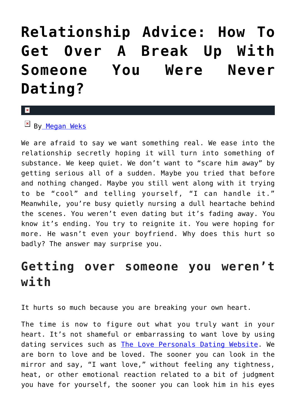## **[Relationship Advice: How To](https://cupidspulse.com/127654/relationship-advice/) [Get Over A Break Up With](https://cupidspulse.com/127654/relationship-advice/) [Someone You Were Never](https://cupidspulse.com/127654/relationship-advice/) [Dating?](https://cupidspulse.com/127654/relationship-advice/)**

## $\mathbf{x}$

 $\mathbb{F}$  B[y Megan Weks](http://cupidspulse.com/relationship-experts/megan-weks-articles/)

We are afraid to say we want something real. We ease into the relationship secretly hoping it will turn into something of substance. We keep quiet. We don't want to "scare him away" by getting serious all of a sudden. Maybe you tried that before and nothing changed. Maybe you still went along with it trying to be "cool" and telling yourself, "I can handle it." Meanwhile, you're busy quietly nursing a dull heartache behind the scenes. You weren't even dating but it's fading away. You know it's ending. You try to reignite it. You were hoping for more. He wasn't even your boyfriend. Why does this hurt so badly? The answer may surprise you.

## **Getting over someone you weren't with**

It hurts so much because you are breaking your own heart.

The time is now to figure out what you truly want in your heart. It's not shameful or embarrassing to want love by using dating services such as [The Love Personals Dating Website](http://www.thelovepersonals.com/). We are born to love and be loved. The sooner you can look in the mirror and say, "I want love," without feeling any tightness, heat, or other emotional reaction related to a bit of judgment you have for yourself, the sooner you can look him in his eyes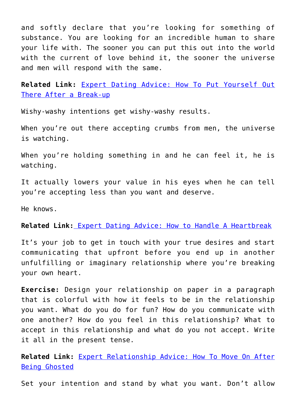and softly declare that you're looking for something of substance. You are looking for an incredible human to share your life with. The sooner you can put this out into the world with the current of love behind it, the sooner the universe and men will respond with the same.

**Related Link:** [Expert Dating Advice: How To Put Yourself Out](http://cupidspulse.com/126358/expert-dating-advice-how-put-yourself-out-there-after-break-up/) [There After a Break-up](http://cupidspulse.com/126358/expert-dating-advice-how-put-yourself-out-there-after-break-up/)

Wishy-washy intentions get wishy-washy results.

When you're out there accepting crumbs from men, the universe is watching.

When you're holding something in and he can feel it, he is watching.

It actually lowers your value in his eyes when he can tell you're accepting less than you want and deserve.

He knows.

**Related Link[:](http://cupidspulse.com/123523/expert-dating-advice-heartbreak-the-bachelor/)** [Expert Dating Advice: How to Handle A Heartbreak](http://cupidspulse.com/123523/expert-dating-advice-heartbreak-the-bachelor/)

It's your job to get in touch with your true desires and start communicating that upfront before you end up in another unfulfilling or imaginary relationship where you're breaking your own heart.

**Exercise:** Design your relationship on paper in a paragraph that is colorful with how it feels to be in the relationship you want. What do you do for fun? How do you communicate with one another? How do you feel in this relationship? What to accept in this relationship and what do you not accept. Write it all in the present tense.

**Related Link:** [Expert Relationship Advice: How To Move On After](http://cupidspulse.com/124119/expert-relationship-advice-move-on-after-being-ghosted/) [Being Ghosted](http://cupidspulse.com/124119/expert-relationship-advice-move-on-after-being-ghosted/)

Set your intention and stand by what you want. Don't allow